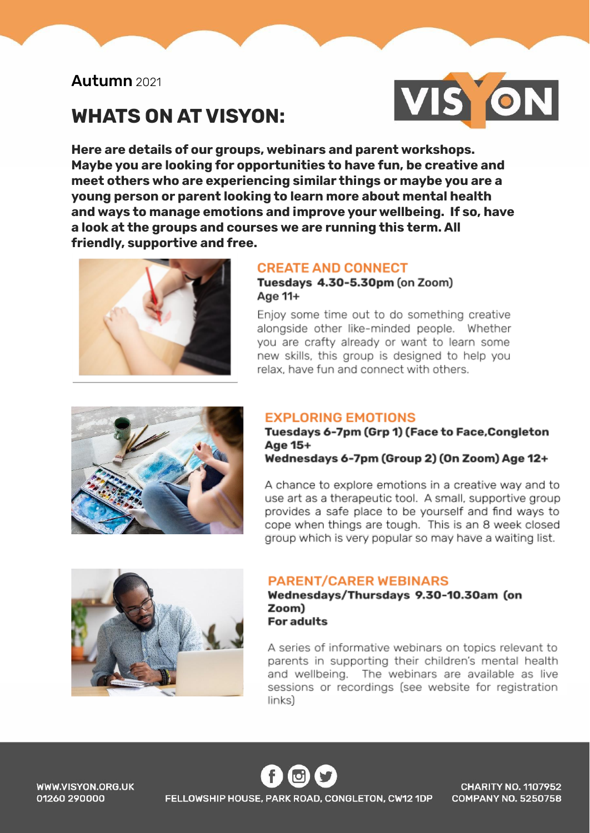# Autumn 2021

# **WHATS ON AT VISYON:**



Here are details of our groups, webinars and parent workshops. Maybe you are looking for opportunities to have fun, be creative and meet others who are experiencing similar things or maybe you are a young person or parent looking to learn more about mental health and ways to manage emotions and improve your wellbeing. If so, have a look at the groups and courses we are running this term. All friendly, supportive and free.



### **CREATE AND CONNECT**

Tuesdays 4.30-5.30pm (on Zoom) Age 11+

Enjoy some time out to do something creative alongside other like-minded people. Whether you are crafty already or want to learn some new skills, this group is designed to help you relax, have fun and connect with others.



#### **EXPLORING EMOTIONS**

Tuesdays 6-7pm (Grp 1) (Face to Face, Congleton Age 15+

Wednesdays 6-7pm (Group 2) (On Zoom) Age 12+

A chance to explore emotions in a creative way and to use art as a therapeutic tool. A small, supportive group provides a safe place to be yourself and find ways to cope when things are tough. This is an 8 week closed group which is very popular so may have a waiting list.



#### **PARENT/CARER WEBINARS**

Wednesdays/Thursdays 9.30-10.30am (on Zoom) **For adults** 

A series of informative webinars on topics relevant to parents in supporting their children's mental health and wellbeing. The webinars are available as live sessions or recordings (see website for registration  $links)$ 

WWW.VISYON.ORG.UK 01260 290000

FELLOWSHIP HOUSE, PARK ROAD, CONGLETON, CW12 1DP

**CHARITY NO. 1107952 COMPANY NO. 5250758**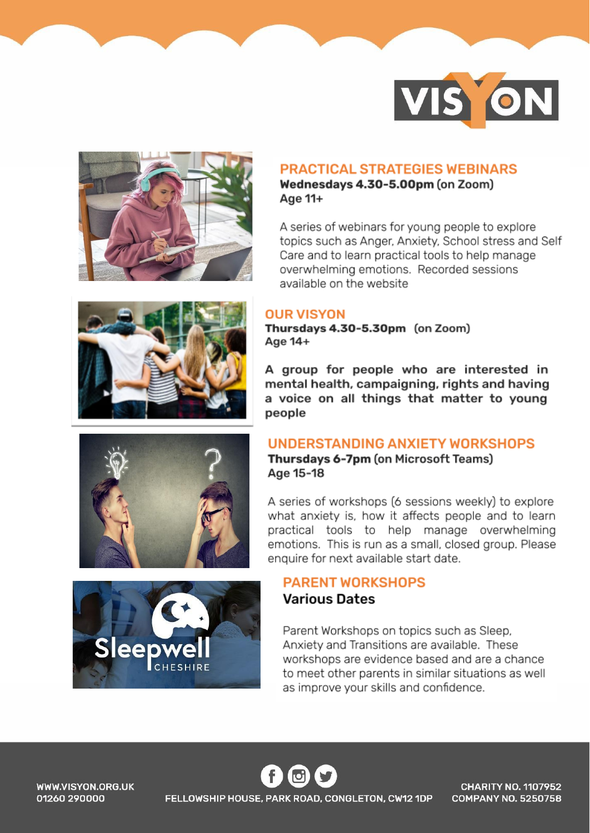



#### **PRACTICAL STRATEGIES WEBINARS**

Wednesdays 4.30-5.00pm (on Zoom) Age 11+

A series of webinars for young people to explore topics such as Anger, Anxiety, School stress and Self Care and to learn practical tools to help manage overwhelming emotions. Recorded sessions available on the website

#### **OUR VISYON**

Thursdays 4.30-5.30pm (on Zoom) Age 14+

A group for people who are interested in mental health, campaigning, rights and having a voice on all things that matter to young people

# **UNDERSTANDING ANXIETY WORKSHOPS**

Thursdays 6-7pm (on Microsoft Teams) Age 15-18

A series of workshops (6 sessions weekly) to explore what anxiety is, how it affects people and to learn practical tools to help manage overwhelming emotions. This is run as a small, closed group. Please enquire for next available start date.

## **PARENT WORKSHOPS Various Dates**

Parent Workshops on topics such as Sleep, Anxiety and Transitions are available. These workshops are evidence based and are a chance to meet other parents in similar situations as well as improve your skills and confidence.



WWW.VISYON.ORG.UK 01260 290000

FELLOWSHIP HOUSE, PARK ROAD, CONGLETON, CW12 1DP

**CHARITY NO. 1107952 COMPANY NO. 5250758**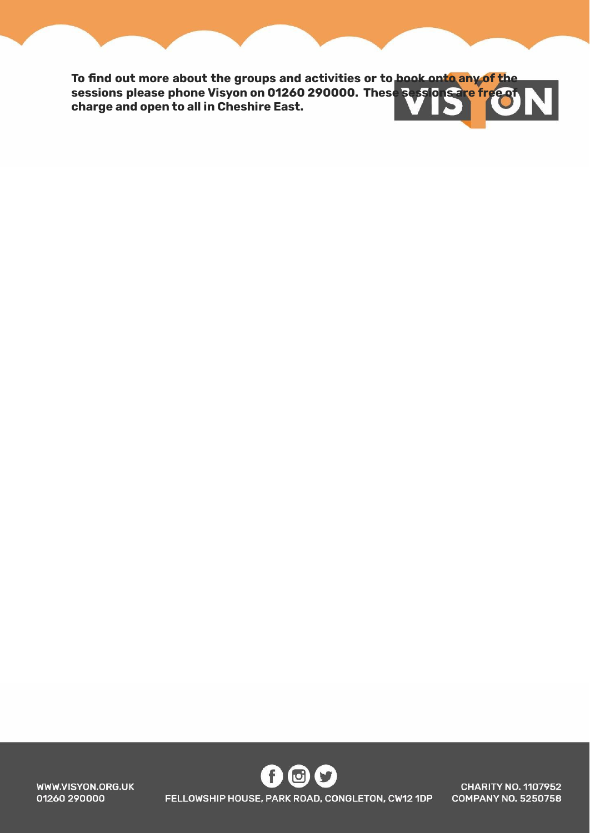**To find out more about the groups and activities or to book onto any of the sessions please phone Visyon on 01260 290000. These sessions are free of charge and open to all in Cheshire East.**

> G  $\left( \bullet \right)$  $\cup$ FELLOWSHIP HOUSE, PARK ROAD, CONGLETON, CW12 1DP

WWW.VISYON.ORG.UK 01260 290000

**CHARITY NO. 1107952 COMPANY NO. 5250758**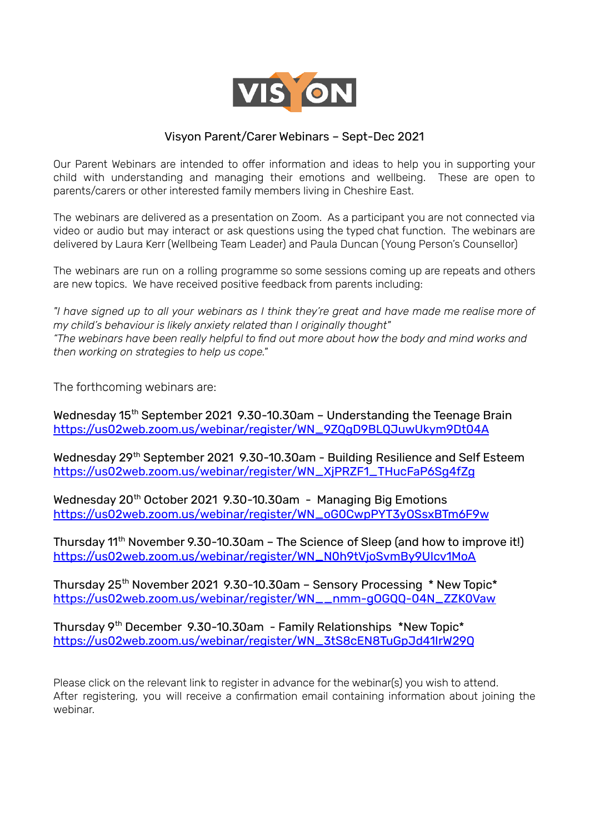

#### Visyon Parent/Carer Webinars – Sept-Dec 2021

Our Parent Webinars are intended to offer information and ideas to help you in supporting your child with understanding and managing their emotions and wellbeing. These are open to parents/carers or other interested family members living in Cheshire East.

The webinars are delivered as a presentation on Zoom. As a participant you are not connected via video or audio but may interact or ask questions using the typed chat function. The webinars are delivered by Laura Kerr (Wellbeing Team Leader) and Paula Duncan (Young Person's Counsellor)

The webinars are run on a rolling programme so some sessions coming up are repeats and others are new topics. We have received positive feedback from parents including:

"I have signed up to all your webinars as I think they're great and have made me realise more of *my child's behaviour is likely anxiety related than I originally thought" "The webinars have been really helpful to find out more about how the body and mind works and then working on strategies to help us cope."*

The forthcoming webinars are:

Wednesday 15<sup>th</sup> September 2021 9.30-10.30am – Understanding the Teenage Brain [https://us02web.zoom.us/webinar/register/WN\\_9ZQgD9BLQJuwUkym9Dt04A](https://us02web.zoom.us/webinar/register/WN_9ZQgD9BLQJuwUkym9Dt04A)

Wednesday 29<sup>th</sup> September 2021 9.30-10.30am - Building Resilience and Self Esteem [https://us02web.zoom.us/webinar/register/WN\\_XjPRZF1\\_THucFaP6Sg4fZg](https://us02web.zoom.us/webinar/register/WN_XjPRZF1_THucFaP6Sg4fZg)

Wednesday 20<sup>th</sup> October 2021 9.30-10.30am - Managing Big Emotions [https://us02web.zoom.us/webinar/register/WN\\_oG0CwpPYT3yOSsxBTm6F9w](https://us02web.zoom.us/webinar/register/WN_oG0CwpPYT3yOSsxBTm6F9w)

Thursday 11<sup>th</sup> November 9.30-10.30am – The Science of Sleep (and how to improve it!) [https://us02web.zoom.us/webinar/register/WN\\_N0h9tVjoSvmBy9UIcv1MoA](https://us02web.zoom.us/webinar/register/WN_N0h9tVjoSvmBy9UIcv1MoA)

Thursday 25<sup>th</sup> November 2021 9.30-10.30am - Sensory Processing \* New Topic\* [https://us02web.zoom.us/webinar/register/WN\\_\\_nmm-gOGQQ-04N\\_ZZK0Vaw](https://us02web.zoom.us/webinar/register/WN__nmm-gOGQQ-04N_ZZK0Vaw)

Thursday 9<sup>th</sup> December 9.30-10.30am - Family Relationships \*New Topic\* [https://us02web.zoom.us/webinar/register/WN\\_3tS8cEN8TuGpJd41IrW29Q](https://us02web.zoom.us/webinar/register/WN_3tS8cEN8TuGpJd41IrW29Q)

Please click on the relevant link to register in advance for the webinar(s) you wish to attend. After registering, you will receive a confirmation email containing information about joining the webinar.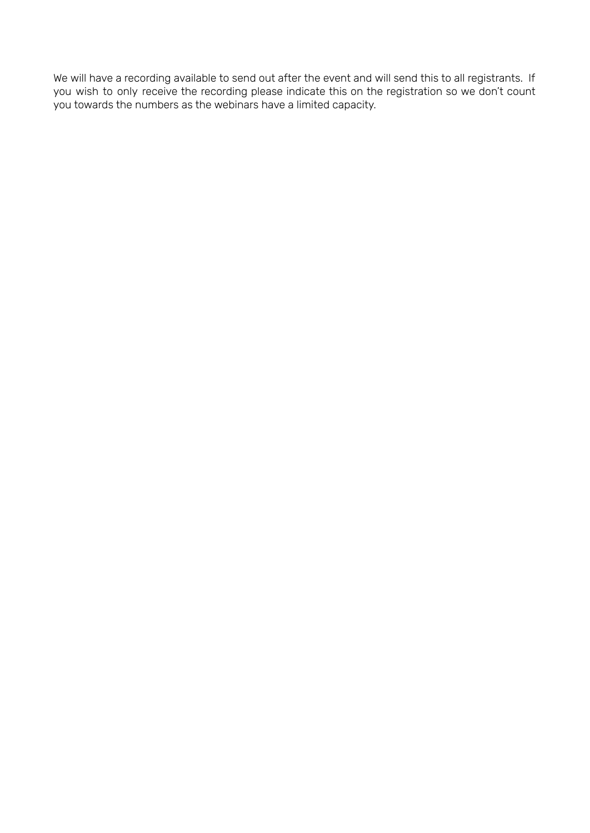We will have a recording available to send out after the event and will send this to all registrants. If you wish to only receive the recording please indicate this on the registration so we don't count you towards the numbers as the webinars have a limited capacity.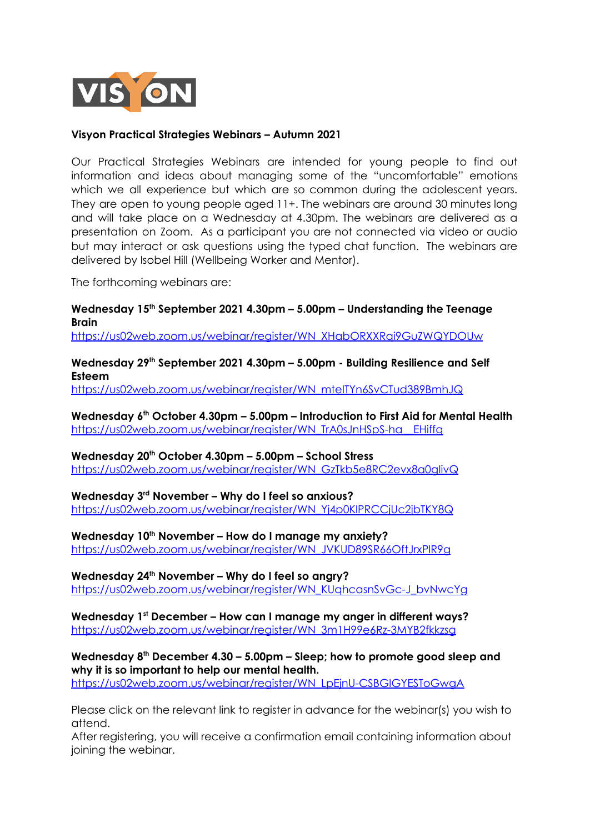

#### **Visyon Practical Strategies Webinars – Autumn 2021**

Our Practical Strategies Webinars are intended for young people to find out information and ideas about managing some of the "uncomfortable" emotions which we all experience but which are so common during the adolescent years. They are open to young people aged 11+. The webinars are around 30 minutes long and will take place on a Wednesday at 4.30pm. The webinars are delivered as a presentation on Zoom. As a participant you are not connected via video or audio but may interact or ask questions using the typed chat function. The webinars are delivered by Isobel Hill (Wellbeing Worker and Mentor).

The forthcoming webinars are:

#### **Wednesday 15 th September 2021 4.30pm – 5.00pm – Understanding the Teenage Brain**

[https://us02web.zoom.us/webinar/register/WN\\_XHabORXXRqi9GuZWQYDOUw](https://us02web.zoom.us/webinar/register/WN_XHabORXXRqi9GuZWQYDOUw)

**Wednesday 29 th September 2021 4.30pm – 5.00pm - Building Resilience and Self Esteem**

[https://us02web.zoom.us/webinar/register/WN\\_mteITYn6SvCTud389BmhJQ](https://us02web.zoom.us/webinar/register/WN_mteITYn6SvCTud389BmhJQ)

**Wednesday 6 th October 4.30pm – 5.00pm – Introduction to First Aid for Mental Health** [https://us02web.zoom.us/webinar/register/WN\\_TrA0sJnHSpS-ha\\_\\_EHiffg](https://us02web.zoom.us/webinar/register/WN_TrA0sJnHSpS-ha__EHiffg)

**Wednesday 20 th October 4.30pm – 5.00pm – School Stress**

[https://us02web.zoom.us/webinar/register/WN\\_GzTkb5e8RC2evx8a0gIivQ](https://us02web.zoom.us/webinar/register/WN_GzTkb5e8RC2evx8a0gIivQ)

**Wednesday 3 rd November – Why do I feel so anxious?** [https://us02web.zoom.us/webinar/register/WN\\_Yj4p0KlPRCCjUc2jbTKY8Q](https://us02web.zoom.us/webinar/register/WN_Yj4p0KlPRCCjUc2jbTKY8Q)

**Wednesday 10 th November – How do I manage my anxiety?** [https://us02web.zoom.us/webinar/register/WN\\_JVKUD89SR66OftJrxPlR9g](https://us02web.zoom.us/webinar/register/WN_JVKUD89SR66OftJrxPlR9g)

**Wednesday 24 th November – Why do I feel so angry?** [https://us02web.zoom.us/webinar/register/WN\\_KUqhcasnSvGc-J\\_bvNwcYg](https://us02web.zoom.us/webinar/register/WN_KUqhcasnSvGc-J_bvNwcYg)

**Wednesday 1 st December – How can I manage my anger in different ways?** [https://us02web.zoom.us/webinar/register/WN\\_3m1H99e6Rz-3MYB2fkkzsg](https://us02web.zoom.us/webinar/register/WN_3m1H99e6Rz-3MYB2fkkzsg)

**Wednesday 8 th December 4.30 – 5.00pm – Sleep; how to promote good sleep and why it is so important to help our mental health.**

[https://us02web.zoom.us/webinar/register/WN\\_LpEjnU-CSBGIGYESToGwgA](https://us02web.zoom.us/webinar/register/WN_LpEjnU-CSBGIGYESToGwgA)

Please click on the relevant link to register in advance for the webinar(s) you wish to attend.

After registering, you will receive a confirmation email containing information about joining the webinar.